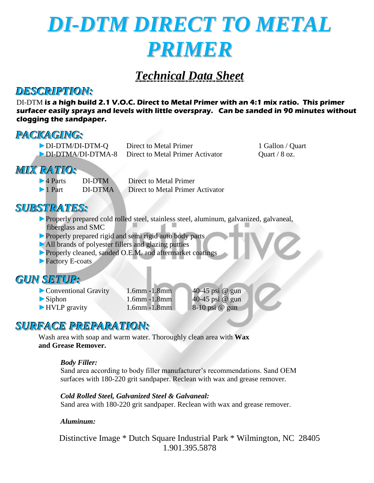

# *Technical Data Sheet*

### *DESCRIPTION:*

DI-DTM **is a high build 2.1 V.O.C. Direct to Metal Primer with an 4:1 mix ratio. This primer surfacer easily sprays and levels with little overspray. Can be sanded in 90 minutes without clogging the sandpaper.**

### *PACKAGING:*

| DI-DTM/DI-DTM-Q                    | Direct to Metal Primer    |
|------------------------------------|---------------------------|
| $\triangleright$ DI-DTMA/DI-DTMA-8 | Direct to Metal Primer Ac |

1 Gallon / Quart  $\frac{1}{2}$  Unit  $\frac{1}{8}$  oz.

## *MIX RATIO:*

►4 Parts DI-DTM Direct to Metal Primer ►1 Part DI-DTMA Direct to Metal Primer Activator

### *SUBSTRATES:*

- ►Properly prepared cold rolled steel, stainless steel, aluminum, galvanized, galvaneal, fiberglass and SMC
- ► Properly prepared rigid and semi rigid auto body parts
- ►All brands of polyester fillers and glazing putties
- ►Properly cleaned, sanded O.E.M. and aftermarket coatings
- ► Factory E-coats

### *GUN SETUP:*

- 
- 
- 
- 

► Conventional Gravity 1.6mm -1.8mm 40-45 psi @ gun 1.6mm -1.8mm 40-45 psi @ gun  $\blacktriangleright$  Siphon 1.6mm -1.8mm 40-45 psi @ gun ► HVLP gravity 1.6mm -1.8mm 8-10 psi @ gun

### *SURFACE PREPARATION:*

Wash area with soap and warm water. Thoroughly clean area with **Wax and Grease Remover.**

### *Body Filler:*

Sand area according to body filler manufacturer's recommendations. Sand OEM surfaces with 180-220 grit sandpaper. Reclean with wax and grease remover.

*Cold Rolled Steel, Galvanized Steel & Galvaneal:* Sand area with 180-220 grit sandpaper. Reclean with wax and grease remover.

### *Aluminum:*

Distinctive Image \* Dutch Square Industrial Park \* Wilmington, NC 28405 1.901.395.5878